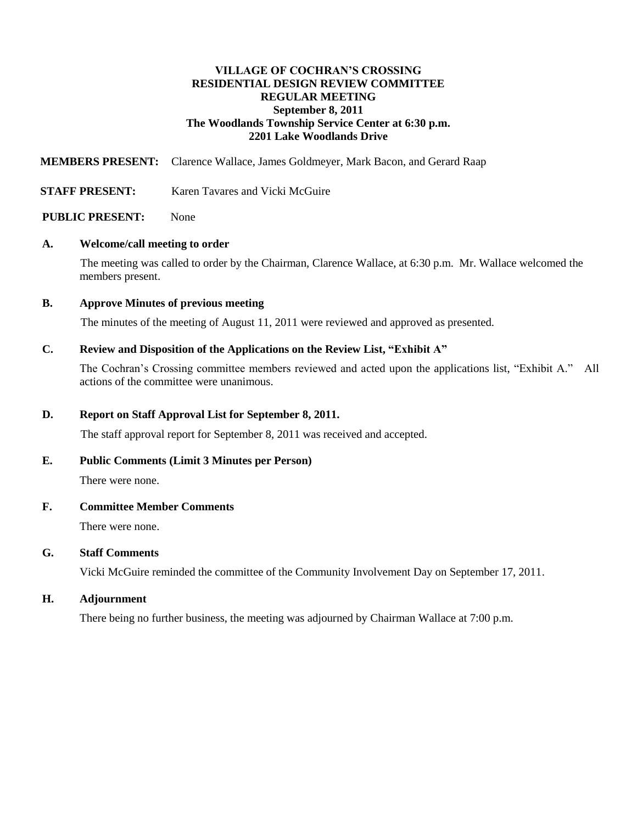## **VILLAGE OF COCHRAN'S CROSSING RESIDENTIAL DESIGN REVIEW COMMITTEE REGULAR MEETING September 8, 2011 The Woodlands Township Service Center at 6:30 p.m. 2201 Lake Woodlands Drive**

**MEMBERS PRESENT:** Clarence Wallace, James Goldmeyer, Mark Bacon, and Gerard Raap

**STAFF PRESENT:** Karen Tavares and Vicki McGuire

### **PUBLIC PRESENT:** None

#### **A. Welcome/call meeting to order**

The meeting was called to order by the Chairman, Clarence Wallace, at 6:30 p.m. Mr. Wallace welcomed the members present.

### **B. Approve Minutes of previous meeting**

The minutes of the meeting of August 11, 2011 were reviewed and approved as presented.

### **C. Review and Disposition of the Applications on the Review List, "Exhibit A"**

The Cochran's Crossing committee members reviewed and acted upon the applications list, "Exhibit A." All actions of the committee were unanimous.

## **D. Report on Staff Approval List for September 8, 2011.**

The staff approval report for September 8, 2011 was received and accepted.

## **E. Public Comments (Limit 3 Minutes per Person)**

There were none.

## **F. Committee Member Comments**

There were none.

## **G. Staff Comments**

Vicki McGuire reminded the committee of the Community Involvement Day on September 17, 2011.

### **H. Adjournment**

There being no further business, the meeting was adjourned by Chairman Wallace at 7:00 p.m.